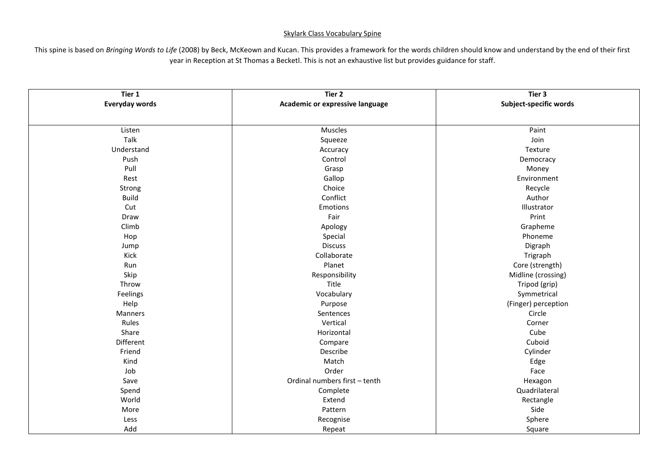## Skylark Class Vocabulary Spine

This spine is based on *Bringing Words to Life* (2008) by Beck, McKeown and Kucan. This provides a framework for the words children should know and understand by the end of their first year in Reception at St Thomas a Becketl. This is not an exhaustive list but provides guidance for staff.

| Tier 1<br><b>Everyday words</b> | Tier 2<br>Academic or expressive language | Tier 3<br>Subject-specific words |
|---------------------------------|-------------------------------------------|----------------------------------|
|                                 |                                           |                                  |
| Listen                          | Muscles                                   | Paint                            |
| Talk                            | Squeeze                                   | Join                             |
| Understand                      | Accuracy                                  | Texture                          |
| Push                            | Control                                   | Democracy                        |
| Pull                            | Grasp                                     | Money                            |
| Rest                            | Gallop                                    | Environment                      |
| Strong                          | Choice                                    | Recycle                          |
| <b>Build</b>                    | Conflict                                  | Author                           |
| Cut                             | Emotions                                  | Illustrator                      |
| Draw                            | Fair                                      | Print                            |
| Climb                           | Apology                                   | Grapheme                         |
| Hop                             | Special                                   | Phoneme                          |
| Jump                            | <b>Discuss</b>                            | Digraph                          |
| Kick                            | Collaborate                               | Trigraph                         |
| Run                             | Planet                                    | Core (strength)                  |
| Skip                            | Responsibility                            | Midline (crossing)               |
| Throw                           | Title                                     | Tripod (grip)                    |
| Feelings                        | Vocabulary                                | Symmetrical                      |
| Help                            | Purpose                                   | (Finger) perception              |
| Manners                         | Sentences                                 | Circle                           |
| Rules                           | Vertical                                  | Corner                           |
| Share                           | Horizontal                                | Cube                             |
| Different                       | Compare                                   | Cuboid                           |
| Friend                          | Describe                                  | Cylinder                         |
| Kind                            | Match                                     | Edge                             |
| Job                             | Order                                     | Face                             |
| Save                            | Ordinal numbers first - tenth             | Hexagon                          |
| Spend                           | Complete                                  | Quadrilateral                    |
| World                           | Extend                                    | Rectangle                        |
| More                            | Pattern                                   | Side                             |
| Less                            | Recognise                                 | Sphere                           |
| Add                             | Repeat                                    | Square                           |